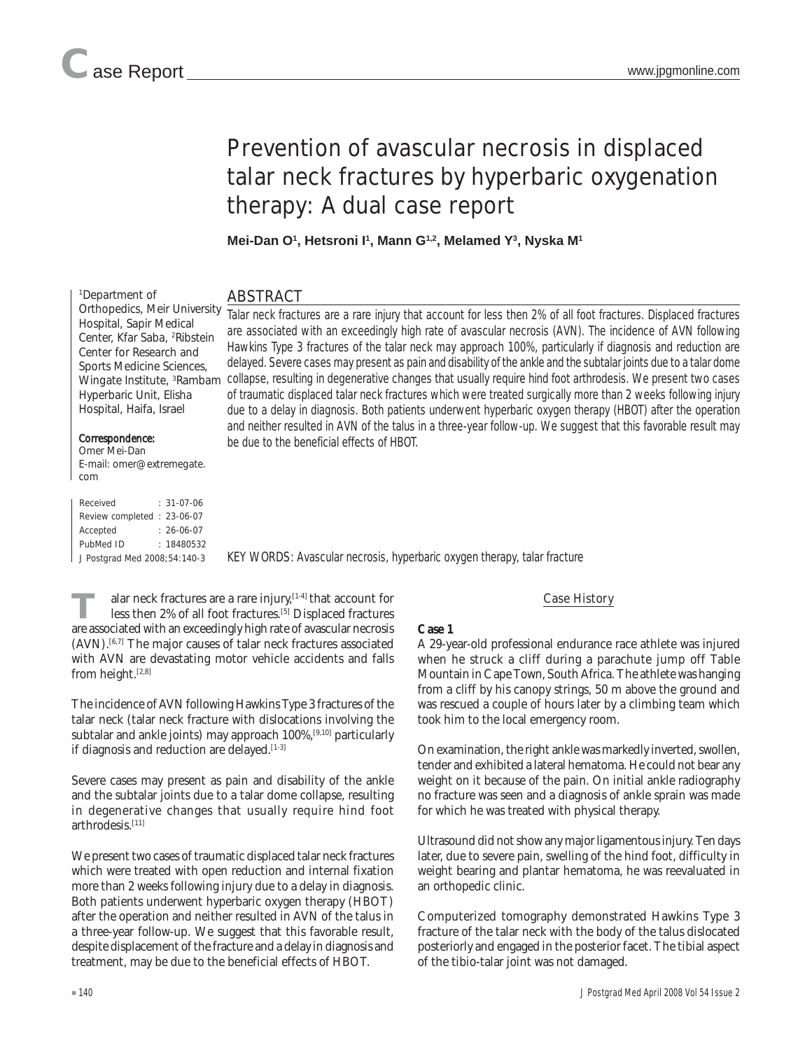1 Department of

Orthopedics, Meir University Hospital, Sapir Medical Center, Kfar Saba, <sup>2</sup>Ribstein Center for Research and Sports Medicine Sciences, Wingate Institute, <sup>3</sup>Rambam Hyperbaric Unit, Elisha Hospital, Haifa, Israel

# Prevention of avascular necrosis in displaced talar neck fractures by hyperbaric oxygenation therapy: A dual case report

**Mei-Dan O1 , Hetsroni I1 , Mann G1,2, Melamed Y3 , Nyska M1**

## ABSTRACT

Talar neck fractures are a rare injury that account for less then 2% of all foot fractures. Displaced fractures are associated with an exceedingly high rate of avascular necrosis (AVN). The incidence of AVN following Hawkins Type 3 fractures of the talar neck may approach 100%, particularly if diagnosis and reduction are delayed. Severe cases may present as pain and disability of the ankle and the subtalar joints due to a talar dome collapse, resulting in degenerative changes that usually require hind foot arthrodesis. We present two cases of traumatic displaced talar neck fractures which were treated surgically more than 2 weeks following injury due to a delay in diagnosis. Both patients underwent hyperbaric oxygen therapy (HBOT) after the operation and neither resulted in AVN of the talus in a three-year follow-up. We suggest that this favorable result may be due to the beneficial effects of HBOT.

Correspondence: Omer Mei-Dan E-mail: omer@extremegate. com

| Received                     |  | $: 31-07-06$     |
|------------------------------|--|------------------|
| Review completed: 23-06-07   |  |                  |
| Accepted                     |  | $: 26 - 06 - 07$ |
| PubMed ID                    |  | : 18480532       |
| J Postgrad Med 2008;54:140-3 |  |                  |

KEY WORDS: Avascular necrosis, hyperbaric oxygen therapy, talar fracture

alar neck fractures are a rare injury,<sup>[1-4]</sup> that account for less then 2% of all foot fractures.[5] Displaced fractures are associated with an exceedingly high rate of avascular necrosis (AVN).[6,7] The major causes of talar neck fractures associated with AVN are devastating motor vehicle accidents and falls from height.<sup>[2,8]</sup>

The incidence of AVN following Hawkins Type 3 fractures of the talar neck (talar neck fracture with dislocations involving the subtalar and ankle joints) may approach 100%,<sup>[9,10]</sup> particularly if diagnosis and reduction are delayed.<sup>[1-3]</sup>

Severe cases may present as pain and disability of the ankle and the subtalar joints due to a talar dome collapse, resulting in degenerative changes that usually require hind foot arthrodesis.<sup>[11]</sup>

We present two cases of traumatic displaced talar neck fractures which were treated with open reduction and internal fixation more than 2 weeks following injury due to a delay in diagnosis. Both patients underwent hyperbaric oxygen therapy (HBOT) after the operation and neither resulted in AVN of the talus in a three-year follow-up. We suggest that this favorable result, despite displacement of the fracture and a delay in diagnosis and treatment, may be due to the beneficial effects of HBOT.

### Case History

#### **Case 1**

A 29-year-old professional endurance race athlete was injured when he struck a cliff during a parachute jump off Table Mountain in Cape Town, South Africa. The athlete was hanging from a cliff by his canopy strings, 50 m above the ground and was rescued a couple of hours later by a climbing team which took him to the local emergency room.

On examination, the right ankle was markedly inverted, swollen, tender and exhibited a lateral hematoma. He could not bear any weight on it because of the pain. On initial ankle radiography no fracture was seen and a diagnosis of ankle sprain was made for which he was treated with physical therapy.

Ultrasound did not show any major ligamentous injury. Ten days later, due to severe pain, swelling of the hind foot, difficulty in weight bearing and plantar hematoma, he was reevaluated in an orthopedic clinic.

Computerized tomography demonstrated Hawkins Type 3 fracture of the talar neck with the body of the talus dislocated posteriorly and engaged in the posterior facet. The tibial aspect of the tibio-talar joint was not damaged.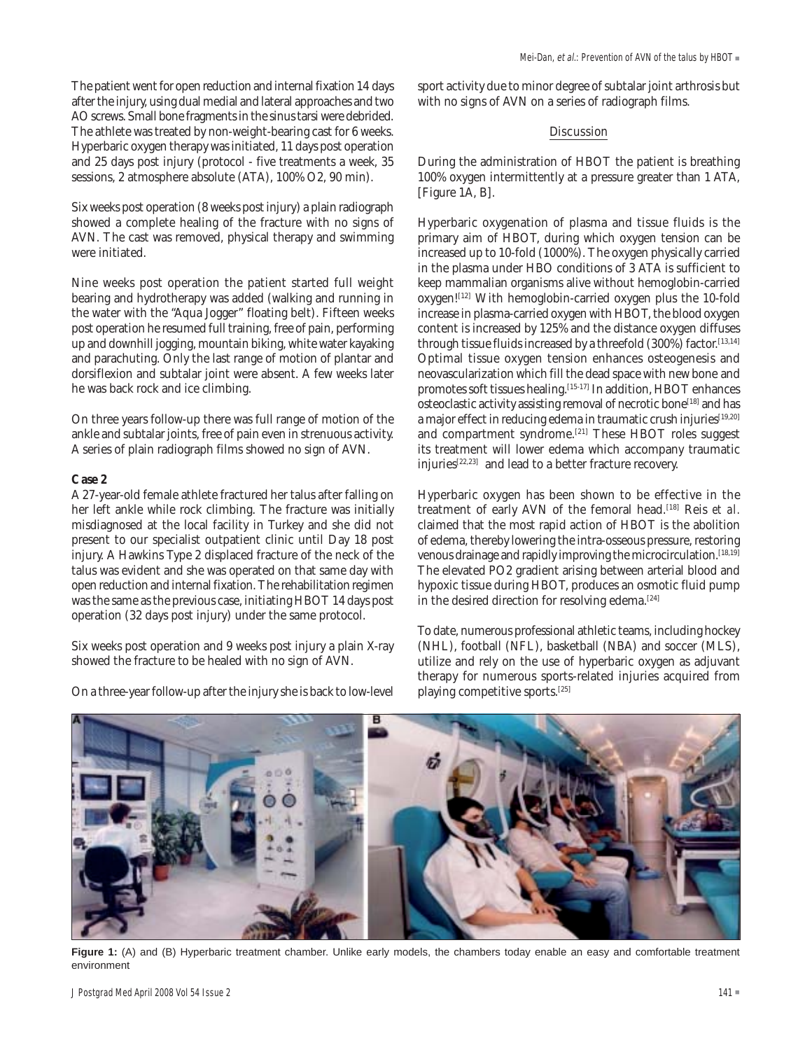The patient went for open reduction and internal fixation 14 days after the injury, using dual medial and lateral approaches and two AO screws. Small bone fragments in the sinus tarsi were debrided. The athlete was treated by non-weight-bearing cast for 6 weeks. Hyperbaric oxygen therapy was initiated, 11 days post operation and 25 days post injury (protocol - five treatments a week, 35 sessions, 2 atmosphere absolute (ATA), 100% O2, 90 min).

Six weeks post operation (8 weeks post injury) a plain radiograph showed a complete healing of the fracture with no signs of AVN. The cast was removed, physical therapy and swimming were initiated.

Nine weeks post operation the patient started full weight bearing and hydrotherapy was added (walking and running in the water with the "Aqua Jogger" floating belt). Fifteen weeks post operation he resumed full training, free of pain, performing up and downhill jogging, mountain biking, white water kayaking and parachuting. Only the last range of motion of plantar and dorsiflexion and subtalar joint were absent. A few weeks later he was back rock and ice climbing.

On three years follow-up there was full range of motion of the ankle and subtalar joints, free of pain even in strenuous activity. A series of plain radiograph films showed no sign of AVN.

#### **Case 2**

A 27-year-old female athlete fractured her talus after falling on her left ankle while rock climbing. The fracture was initially misdiagnosed at the local facility in Turkey and she did not present to our specialist outpatient clinic until Day 18 post injury. A Hawkins Type 2 displaced fracture of the neck of the talus was evident and she was operated on that same day with open reduction and internal fixation. The rehabilitation regimen was the same as the previous case, initiating HBOT 14 days post operation (32 days post injury) under the same protocol.

Six weeks post operation and 9 weeks post injury a plain X-ray showed the fracture to be healed with no sign of AVN.

On a three-year follow-up after the injury she is back to low-level

sport activity due to minor degree of subtalar joint arthrosis but with no signs of AVN on a series of radiograph films.

#### **Discussion**

During the administration of HBOT the patient is breathing 100% oxygen intermittently at a pressure greater than 1 ATA, [Figure 1A, B].

Hyperbaric oxygenation of plasma and tissue fluids is the primary aim of HBOT, during which oxygen tension can be increased up to 10-fold (1000%). The oxygen physically carried in the plasma under HBO conditions of 3 ATA is sufficient to keep mammalian organisms alive without hemoglobin-carried oxygen![12] With hemoglobin-carried oxygen plus the 10-fold increase in plasma-carried oxygen with HBOT, the blood oxygen content is increased by 125% and the distance oxygen diffuses through tissue fluids increased by a threefold (300%) factor.[13,14] Optimal tissue oxygen tension enhances osteogenesis and neovascularization which fill the dead space with new bone and promotes soft tissues healing.<sup>[15-17]</sup> In addition, HBOT enhances osteoclastic activity assisting removal of necrotic bone<sup>[18]</sup> and has a major effect in reducing edema in traumatic crush injuries<sup>[19,20]</sup> and compartment syndrome.<sup>[21]</sup> These HBOT roles suggest its treatment will lower edema which accompany traumatic injuries[22,23] and lead to a better fracture recovery.

Hyperbaric oxygen has been shown to be effective in the treatment of early AVN of the femoral head.<sup>[18]</sup> Reis et al. claimed that the most rapid action of HBOT is the abolition of edema, thereby lowering the intra-osseous pressure, restoring venous drainage and rapidly improving the microcirculation.<sup>[18,19]</sup> The elevated PO2 gradient arising between arterial blood and hypoxic tissue during HBOT, produces an osmotic fluid pump in the desired direction for resolving edema.<sup>[24]</sup>

To date, numerous professional athletic teams, including hockey (NHL), football (NFL), basketball (NBA) and soccer (MLS), utilize and rely on the use of hyperbaric oxygen as adjuvant therapy for numerous sports-related injuries acquired from playing competitive sports.[25]



**Figure 1:** (A) and (B) Hyperbaric treatment chamber. Unlike early models, the chambers today enable an easy and comfortable treatment environment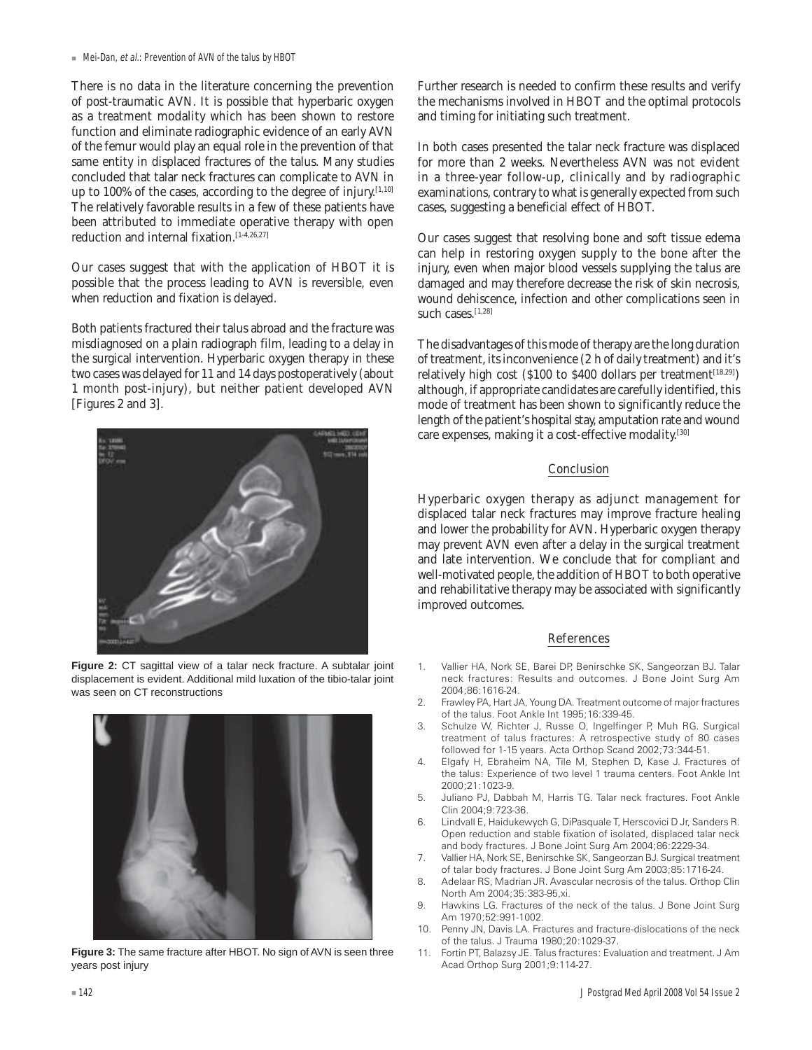! Mei-Dan, et al.: Prevention of AVN of the talus by HBOT

There is no data in the literature concerning the prevention of post-traumatic AVN. It is possible that hyperbaric oxygen as a treatment modality which has been shown to restore function and eliminate radiographic evidence of an early AVN of the femur would play an equal role in the prevention of that same entity in displaced fractures of the talus. Many studies concluded that talar neck fractures can complicate to AVN in up to 100% of the cases, according to the degree of injury.  $[1,10]$ The relatively favorable results in a few of these patients have been attributed to immediate operative therapy with open reduction and internal fixation.<sup>[1-4,26,27]</sup>

Our cases suggest that with the application of HBOT it is possible that the process leading to AVN is reversible, even when reduction and fixation is delayed.

Both patients fractured their talus abroad and the fracture was misdiagnosed on a plain radiograph film, leading to a delay in the surgical intervention. Hyperbaric oxygen therapy in these two cases was delayed for 11 and 14 days postoperatively (about 1 month post-injury), but neither patient developed AVN [Figures 2 and 3].







**Figure 3:** The same fracture after HBOT. No sign of AVN is seen three years post injury

Further research is needed to confirm these results and verify the mechanisms involved in HBOT and the optimal protocols and timing for initiating such treatment.

In both cases presented the talar neck fracture was displaced for more than 2 weeks. Nevertheless AVN was not evident in a three-year follow-up, clinically and by radiographic examinations, contrary to what is generally expected from such cases, suggesting a beneficial effect of HBOT.

Our cases suggest that resolving bone and soft tissue edema can help in restoring oxygen supply to the bone after the injury, even when major blood vessels supplying the talus are damaged and may therefore decrease the risk of skin necrosis, wound dehiscence, infection and other complications seen in such cases.[1,28]

The disadvantages of this mode of therapy are the long duration of treatment, its inconvenience (2 h of daily treatment) and it's relatively high cost (\$100 to \$400 dollars per treatment $[18,29]$ ) although, if appropriate candidates are carefully identified, this mode of treatment has been shown to significantly reduce the length of the patient's hospital stay, amputation rate and wound care expenses, making it a cost-effective modality.[30]

#### **Conclusion**

Hyperbaric oxygen therapy as adjunct management for displaced talar neck fractures may improve fracture healing and lower the probability for AVN. Hyperbaric oxygen therapy may prevent AVN even after a delay in the surgical treatment and late intervention. We conclude that for compliant and well-motivated people, the addition of HBOT to both operative and rehabilitative therapy may be associated with significantly improved outcomes.

#### References

- 1. Vallier HA, Nork SE, Barei DP, Benirschke SK, Sangeorzan BJ. Talar neck fractures: Results and outcomes. J Bone Joint Surg Am 2004;86:1616-24.
- 2. Frawley PA, Hart JA, Young DA. Treatment outcome of major fractures of the talus. Foot Ankle Int 1995;16:339-45.
- 3. Schulze W, Richter J, Russe O, Ingelfinger P, Muh RG. Surgical treatment of talus fractures: A retrospective study of 80 cases followed for 1-15 years. Acta Orthop Scand 2002;73:344-51.
- 4. Elgafy H, Ebraheim NA, Tile M, Stephen D, Kase J. Fractures of the talus: Experience of two level 1 trauma centers. Foot Ankle Int 2000;21:1023-9.
- 5. Juliano PJ, Dabbah M, Harris TG. Talar neck fractures. Foot Ankle Clin 2004;9:723-36.
- 6. Lindvall E, Haidukewych G, DiPasquale T, Herscovici D Jr, Sanders R. Open reduction and stable fixation of isolated, displaced talar neck and body fractures. J Bone Joint Surg Am 2004;86:2229-34.
- 7. Vallier HA, Nork SE, Benirschke SK, Sangeorzan BJ. Surgical treatment of talar body fractures. J Bone Joint Surg Am 2003;85:1716-24.
- 8. Adelaar RS, Madrian JR. Avascular necrosis of the talus. Orthop Clin North Am 2004;35:383-95,xi.
- 9. Hawkins LG. Fractures of the neck of the talus. J Bone Joint Surg Am 1970;52:991-1002.
- 10. Penny JN, Davis LA. Fractures and fracture-dislocations of the neck of the talus. J Trauma 1980;20:1029-37.
- 11. Fortin PT, Balazsy JE. Talus fractures: Evaluation and treatment. J Am Acad Orthop Surg 2001;9:114-27.